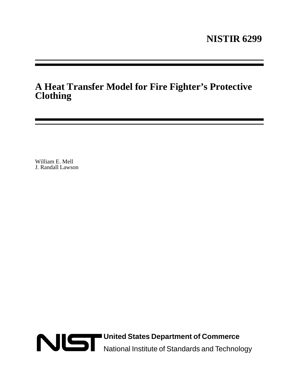# **A Heat Transfer Model for Fire Fighter's Protective Clothing**

William E. Mell J. Randall Lawson

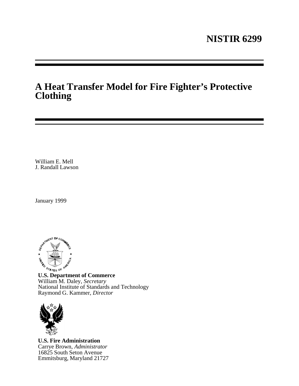# **A Heat Transfer Model for Fire Fighter's Protective Clothing**

William E. Mell J. Randall Lawson

January 1999



**U.S. Department of Commerce** William M. Daley, *Secretary* National Institute of Standards and Technology Raymond G. Kammer, *Director*



**U.S. Fire Administration** Carrye Brown, *Administrator* 16825 South Seton Avenue Emmitsburg, Maryland 21727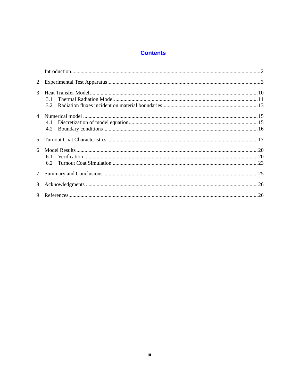### **Contents**

| 2              |     |
|----------------|-----|
| $\mathcal{F}$  |     |
|                | 4.2 |
| $\mathcal{F}$  |     |
| 6              |     |
| $7\phantom{.}$ |     |
| 8              |     |
|                |     |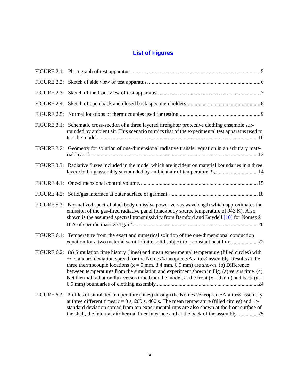## **List of Figures**

|             | FIGURE 3.1: Schematic cross-section of a three layered firefighter protective clothing ensemble sur-<br>rounded by ambient air. This scenario mimics that of the experimental test apparatus used to                                                                                                                                                                                                                                                                               |
|-------------|------------------------------------------------------------------------------------------------------------------------------------------------------------------------------------------------------------------------------------------------------------------------------------------------------------------------------------------------------------------------------------------------------------------------------------------------------------------------------------|
|             | FIGURE 3.2: Geometry for solution of one-dimensional radiative transfer equation in an arbitrary mate-                                                                                                                                                                                                                                                                                                                                                                             |
|             | FIGURE 3.3: Radiative fluxes included in the model which are incident on material boundaries in a three                                                                                                                                                                                                                                                                                                                                                                            |
|             |                                                                                                                                                                                                                                                                                                                                                                                                                                                                                    |
|             |                                                                                                                                                                                                                                                                                                                                                                                                                                                                                    |
|             | FIGURE 5.3: Normalized spectral blackbody emissive power versus wavelength which approximates the<br>emission of the gas-fired radiative panel (blackbody source temperature of 943 K). Also<br>shown is the assumed spectral transmissivity from Bamford and Boydell [10] for Nomex®                                                                                                                                                                                              |
| FIGURE 6.1: | Temperature from the exact and numerical solution of the one-dimensional conduction<br>equation for a two material semi-infinite solid subject to a constant heat flux22                                                                                                                                                                                                                                                                                                           |
| FIGURE 6.2: | (a) Simulation time history (lines) and mean experimental temperature (filled circles) with<br>+/- standard deviation spread for the Nomex®/neoprene/Aralite® assembly. Results at the<br>three thermocouple locations ( $x = 0$ mm, 3.4 mm, 6.9 mm) are shown. (b) Difference<br>between temperatures from the simulation and experiment shown in Fig. (a) versus time. (c)<br>Net thermal radiation flux versus time from the model, at the front $(x = 0$ mm) and back $(x = 0$ |
|             | FIGURE 6.3: Profiles of simulated temperature (lines) through the Nomex®/neoprene/Aralite® assembly<br>at three different times: $t = 0$ s, 200 s, 400 s. The mean temperature (filled circles) and $+/-$<br>standard deviation spread from ten experimental runs are also shown at the front surface of<br>the shell, the internal air/thermal liner interface and at the back of the assembly. 25                                                                                |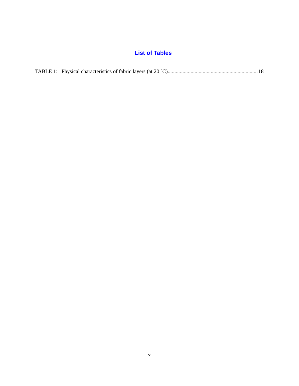## **List of Tables**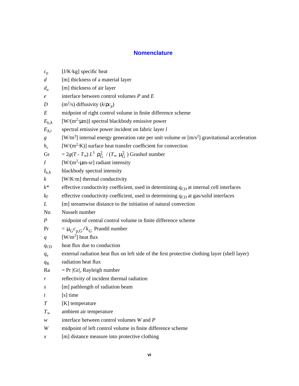## **Nomenclature**

| $c_{\rm p}$          | $[J/K \cdot kg]$ specific heat                                                                             |
|----------------------|------------------------------------------------------------------------------------------------------------|
| $\overline{d}$       | [m] thickness of a material layer                                                                          |
| $d_a$                | [m] thickness of air layer                                                                                 |
| $\boldsymbol{e}$     | interface between control volumes $P$ and $E$                                                              |
| D                    | $(m^2/s)$ diffusivity $(k/pc_p)$                                                                           |
| E                    | midpoint of right control volume in finite difference scheme                                               |
| $E_{\rm b, \lambda}$ | [ $W/(m^2 \cdot \mu m)$ ] spectral blackbody emissive power                                                |
| $E_{\lambda,l}$      | spectral emissive power incident on fabric layer $l$                                                       |
| $\boldsymbol{g}$     | [W/m <sup>3</sup> ] internal energy generation rate per unit volume or $[m/s2]$ gravitational acceleration |
| $h_{\rm c}$          | $[W/(m^2 \cdot K)]$ surface heat transfer coefficient for convection                                       |
| Gr                   | $= 2g(T - T_{\infty}) L^3 \rho_G^2 / (T_{\infty} \mu_G^2)$ Grashof number                                  |
| $\boldsymbol{I}$     | [ $W/(m^2- \mu m-sr]$ radiant intensity                                                                    |
| $I_{\rm b, \lambda}$ | blackbody spectral intensity                                                                               |
| $\boldsymbol{k}$     | $[W/K \cdot m]$ thermal conductivity                                                                       |
| $k^*$                | effective conductivity coefficient, used in determining $q_{CD}$ at internal cell interfaces               |
| $k_{\Gamma}$         | effective conductivity coefficient, used in determining $q_{CD}$ at gas/solid interfaces                   |
| L                    | [m] streamwise distance to the initiation of natural convection                                            |
| Nu                   | Nusselt number                                                                                             |
| $\boldsymbol{P}$     | midpoint of central control volume in finite difference scheme                                             |
| Pr                   | $= \mu_G c_{p,G} / k_G$ Prandtl number                                                                     |
| q                    | [ $W/m2$ ] heat flux                                                                                       |
| $q_{CD}$             | heat flux due to conduction                                                                                |
| $q_{\rm e}$          | external radiation heat flux on left side of the first protective clothing layer (shell layer)             |
| $q_{\rm R}$          | radiation heat flux                                                                                        |
| Ra                   | $=$ Pr  Gr , Rayleigh number                                                                               |
| r                    | reflectivity of incident thermal radiation                                                                 |
| S                    | [m] pathlength of radiation beam                                                                           |
| t                    | [s] time                                                                                                   |
| T                    | [K] temperature                                                                                            |
| $T_{\infty}$         | ambient air temperature                                                                                    |
| w                    | interface between control volumes $W$ and $P$                                                              |
| W                    | midpoint of left control volume in finite difference scheme                                                |
| x                    | [m] distance measure into protective clothing                                                              |
|                      |                                                                                                            |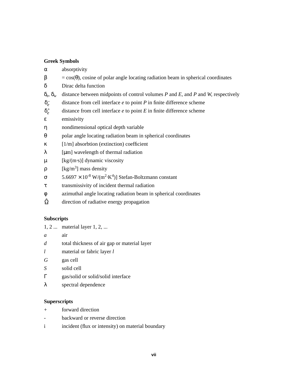#### **Greek Symbols**

| $\alpha$ | absorptivity |  |
|----------|--------------|--|
|----------|--------------|--|

- $β = cos(θ)$ , cosine of polar angle locating radiation beam in spherical coordinates
- δ Dirac delta function
- $\delta_{\scriptscriptstyle{\text{e}}}, \delta_{\scriptscriptstyle{\text{w}}}$ distance between midpoints of control volumes  $P$  and  $E$ , and  $P$  and  $W$ , respectively
- distance from cell interface *e* to point *P* in finite difference scheme δ*e* –
- distance from cell interface *e* to point *E* in finite difference scheme  $\delta^+_{e}$
- ε emissivity
- η nondimensional optical depth variable
- θ polar angle locating radiation beam in spherical coordinates
- $\kappa$  [1/m] absorbtion (extinction) coefficient
- $\lambda$  [µm] wavelength of thermal radiation
- µ [kg/(m⋅s)] dynamic viscosity
- $\rho$  [kg/m<sup>3</sup>] mass density
- $\sigma$  5.6697 × 10<sup>-8</sup> W/(m<sup>2</sup>·K<sup>4</sup>)] Stefan-Boltzmann constant
- τ transmissivity of incident thermal radiation
- φ azimuthal angle locating radiation beam in spherical coordinates
- direction of radiative energy propagation  $\hat{\Omega}$

#### **Subscripts**

- 1, 2 ... material layer 1, 2, ...
- *a* air
- *d* total thickness of air gap or material layer
- *l* material or fabric layer *l*
- *G* gas cell
- *S* solid cell
- Γ gas/solid or solid/solid interface
- λ spectral dependence

#### **Superscripts**

- + forward direction
- backward or reverse direction
- i incident (flux or intensity) on material boundary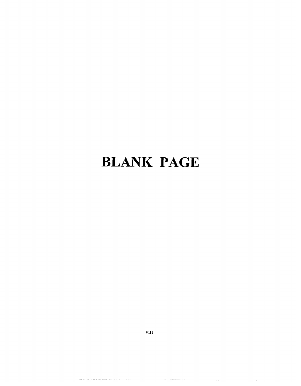# **BLANK PAGE**

viii

 $\label{eq:convergence} \text{infinite} \text{supp}(\text{supp}(\text{supp}(\text{supp}(\text{supp}(\text{supp}(\text{supp}(\text{supp}(\text{supp}(\text{supp}(\text{supp}(\text{supp}(\text{supp}(\text{supp}(\text{supp}(\text{supp}(\text{supp}(\text{supp}(\text{supp}(\text{supp}(\text{supp}(\text{supp}(\text{supp}(\text{supp}(\text{supp}(\text{supp}(\text{supp}(\text{supp}(\text{supp}(\text{supp}(\text{supp}(\text{supp}(\text{supp}(\text{supp}(\text$ 

 $\label{eq:optimal} \textit{diam}(\alpha, \alpha) = \alpha \mathbf{e}^{(\alpha)} \cdot \mathbf{e}^{(\alpha)} \mathbf{e}^{(\alpha)} \cdot \mathbf{e}^{(\alpha)} \cdot \mathbf{e}^{(\alpha)} \cdot \mathbf{e}^{(\alpha)} \cdot \mathbf{e}^{(\alpha)} \cdot \mathbf{e}^{(\alpha)} \cdot \mathbf{e}^{(\alpha)} \cdot \mathbf{e}^{(\alpha)} \cdot \mathbf{e}^{(\alpha)} \cdot \mathbf{e}^{(\alpha)} \cdot \mathbf{e}^{(\alpha)} \cdot \mathbf{e}^{(\alpha)} \cdot \mathbf{e}^{(\alpha)} \cdot \mathbf{e}^{(\alpha)} \cdot \mathbf{e}$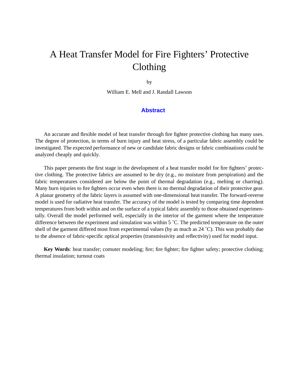# A Heat Transfer Model for Fire Fighters' Protective Clothing

by

William E. Mell and J. Randall Lawson

#### **Abstract**

An accurate and flexible model of heat transfer through fire fighter protective clothing has many uses. The degree of protection, in terms of burn injury and heat stress, of a particular fabric assembly could be investigated. The expected performance of new or candidate fabric designs or fabric combinations could be analyzed cheaply and quickly.

This paper presents the first stage in the development of a heat transfer model for fire fighters' protective clothing. The protective fabrics are assumed to be dry (e.g., no moisture from perspiration) and the fabric temperatures considered are below the point of thermal degradation (e.g., melting or charring). Many burn injuries to fire fighters occur even when there is no thermal degradation of their protective gear. A planar geometry of the fabric layers is assumed with one-dimensional heat transfer. The forward-reverse model is used for radiative heat transfer. The accuracy of the model is tested by comparing time dependent temperatures from both within and on the surface of a typical fabric assembly to those obtained experimentally. Overall the model performed well, especially in the interior of the garment where the temperature difference between the experiment and simulation was within 5 ˚C. The predicted temperature on the outer shell of the garment differed most from experimental values (by as much as 24 ˚C). This was probably due to the absence of fabric-specific optical properties (transmissivity and reflectivity) used for model input.

**Key Words**: heat transfer; comuter modeling; fire; fire fighter; fire fighter safety; protective clothing; thermal insulation; turnout coats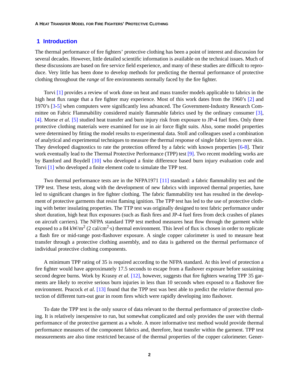#### **1 Introduction**

The thermal performance of fire fighters' protective clothing has been a point of interest and discussion for several decades. However, little detailed scientific information is available on the technical issues. Much of these discussions are based on fire service field experience, and many of these studies are difficult to reproduce. Very little has been done to develop methods for predicting the thermal performance of protective clothing throughout the *range* of fire environments normally faced by the fire fighter.

Torvi [1] provides a review of work done on heat and mass transfer models applicable to fabrics in the high heat flux range that a fire fighter may experience. Most of this work dates from the 1960's [2] and 1970's [3-5] when computers were significantly less advanced. The Government-Industry Research Committee on Fabric Flammability considered mainly flammable fabrics used by the ordinary consumer [3], [4]. Morse *et al.* [5] studied heat transfer and burn injury risk from exposure to JP-4 fuel fires. Only three protective clothing materials were examined for use in air force flight suits. Also, some model properties were determined by fitting the model results to experimental data. Stoll and colleagues used a combination of analytical and experimental techniques to measure the thermal response of single fabric layers over skin. They developed diagnostics to rate the protection offered by a fabric with known properties [6-8]. Their work eventually lead to the Thermal Protective Performance (TPP) test [9]. Two recent modeling works are by Bamford and Boydell [10] who developed a finite difference based burn injury evaluation code and Torvi [1] who developed a finite element code to simulate the TPP test.

Two thermal performance tests are in the NFPA1971 [11] standard: a fabric flammability test and the TPP test. These tests, along with the development of new fabrics with improved thermal properties, have led to significant changes in fire fighter clothing. The fabric flammability test has resulted in the development of protective garments that resist flaming ignition. The TPP test has led to the use of protective clothing with better insulating properties. The TTP test was originally designed to test fabric performance under short duration, high heat flux exposures (such as flash fires and JP-4 fuel fires from deck crashes of planes on aircraft carriers). The NFPA standard TPP test method measures heat flow through the garment while exposed to a 84 kW/m<sup>2</sup> (2 cal/cm<sup>2</sup> $\cdot$ s) thermal environment. This level of flux is chosen in order to replicate a flash fire or mid-range post-flashover exposure. A single copper calorimeter is used to measure heat transfer through a protective clothing assembly, and no data is gathered on the thermal performance of individual protective clothing components.

A minimum TPP rating of 35 is required according to the NFPA standard. At this level of protection a fire fighter would have approximately 17.5 seconds to escape from a flashover exposure before sustaining second degree burns. Work by Krasny *et al.* [12], however, suggests that fire fighters wearing TPP 35 garments are likely to receive serious burn injuries in less than 10 seconds when exposed to a flashover fire environment. Peacock *et al.* [13] found that the TPP test was best able to predict the *relative* thermal protection of different turn-out gear in room fires which were rapidly developing into flashover.

To date the TPP test is the only source of data relevant to the thermal performance of protective clothing. It is relatively inexpensive to run, but somewhat complicated and only provides the user with thermal performance of the protective garment as a whole. A more informative test method would provide thermal performance measures of the component fabrics and, therefore, heat transfer within the garment. TPP test measurements are also time restricted because of the thermal properties of the copper calorimeter. Gener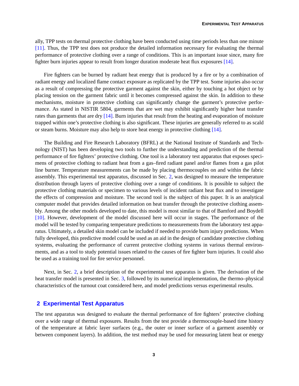ally, TPP tests on thermal protective clothing have been conducted using time periods less than one minute [11]. Thus, the TPP test does not produce the detailed information necessary for evaluating the thermal performance of protective clothing over a range of conditions. This is an important issue since, many fire fighter burn injuries appear to result from longer duration moderate heat flux exposures [14].

Fire fighters can be burned by radiant heat energy that is produced by a fire or by a combination of radiant energy and localized flame contact exposure as replicated by the TPP test. Some injuries also occur as a result of compressing the protective garment against the skin, either by touching a hot object or by placing tension on the garment fabric until it becomes compressed against the skin. In addition to these mechanisms, moisture in protective clothing can significantly change the garment's protective performance. As stated in NISTIR 5804, garments that are wet may exhibit significantly higher heat transfer rates than garments that are dry [14]. Burn injuries that result from the heating and evaporation of moisture trapped within one's protective clothing is also significant. These injuries are generally referred to as scald or steam burns. Moisture may also help to store heat energy in protective clothing [14].

The Building and Fire Research Laboratory (BFRL) at the National Institute of Standards and Technology (NIST) has been developing two tools to further the understanding and prediction of the thermal performance of fire fighters' protective clothing. One tool is a laboratory test apparatus that exposes specimens of protective clothing to radiant heat from a gas–fired radiant panel and/or flames from a gas pilot line burner. Temperature measurements can be made by placing thermocouples on and within the fabric assembly. This experimental test apparatus, discussed in Sec. 2, was designed to measure the temperature distribution through layers of protective clothing over a range of conditions. It is possible to subject the protective clothing materials or specimen to various levels of incident radiant heat flux and to investigate the effects of compression and moisture. The second tool is the subject of this paper. It is an analytical computer model that provides detailed information on heat transfer through the protective clothing assembly. Among the other models developed to date, this model is most similar to that of Bamford and Boydell [10]. However, development of the model discussed here will occur in stages. The performance of the model will be tested by comparing temperature predictions to measurements from the laboratory test apparatus. Ultimately, a detailed skin model can be included if needed to provide burn injury predictions. When fully developed, this predictive model could be used as an aid in the design of candidate protective clothing systems, evaluating the performance of current protective clothing systems in various thermal environments, and as a tool to study potential issues related to the causes of fire fighter burn injuries. It could also be used as a training tool for fire service personnel.

Next, in Sec. 2, a brief description of the experimental test apparatus is given. The derivation of the heat transfer model is presented in Sec. 3, followed by its numerical implementation, the thermo–physical characteristics of the turnout coat considered here, and model predictions versus experimental results.

#### **2 Experimental Test Apparatus**

The test apparatus was designed to evaluate the thermal performance of fire fighters' protective clothing over a wide range of thermal exposures. Results from the test provide a thermocouple-based time history of the temperature at fabric layer surfaces (e.g., the outer or inner surface of a garment assembly or between component layers). In addition, the test method may be used for measuring latent heat or energy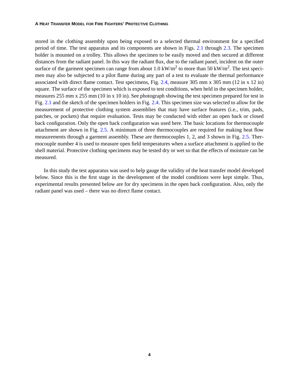#### **A HEAT TRANSFER MODEL FOR FIRE FIGHTERS' PROTECTIVE CLOTHING**

stored in the clothing assembly upon being exposed to a selected thermal environment for a specified period of time. The test apparatus and its components are shown in Figs. 2.1 through 2.3. The specimen holder is mounted on a trolley. This allows the specimen to be easily moved and then secured at different distances from the radiant panel. In this way the radiant flux, due to the radiant panel, incident on the outer surface of the garment specimen can range from about 1.0 kW/m<sup>2</sup> to more than 50 kW/m<sup>2</sup>. The test specimen may also be subjected to a pilot flame during any part of a test to evaluate the thermal performance associated with direct flame contact. Test specimens, Fig. 2.4, measure 305 mm x 305 mm (12 in x 12 in) square. The surface of the specimen which is exposed to test conditions, when held in the specimen holder, measures 255 mm x 255 mm (10 in x 10 in). See photograph showing the test specimen prepared for test in Fig. 2.1 and the sketch of the specimen holders in Fig. 2.4. This specimen size was selected to allow for the measurement of protective clothing system assemblies that may have surface features (i.e., trim, pads, patches, or pockets) that require evaluation. Tests may be conducted with either an open back or closed back configuration. Only the open back configuration was used here. The basic locations for thermocouple attachment are shown in Fig. 2.5. A minimum of three thermocouples are required for making heat flow measurements through a garment assembly. These are thermocouples 1, 2, and 3 shown in Fig. 2.5. Thermocouple number 4 is used to measure open field temperatures when a surface attachment is applied to the shell material. Protective clothing specimens may be tested dry or wet so that the effects of moisture can be measured.

In this study the test apparatus was used to help gauge the validity of the heat transfer model developed below. Since this is the first stage in the development of the model conditions were kept simple. Thus, experimental results presented below are for dry specimens in the open back configuration. Also, only the radiant panel was used – there was no direct flame contact.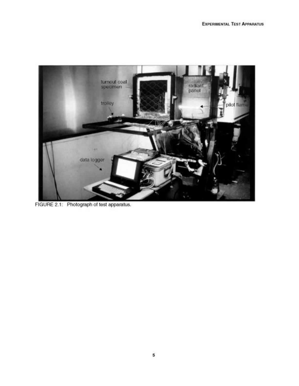

FIGURE 2.1: Photograph of test apparatus.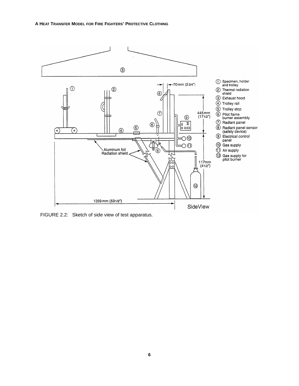

FIGURE 2.2: Sketch of side view of test apparatus.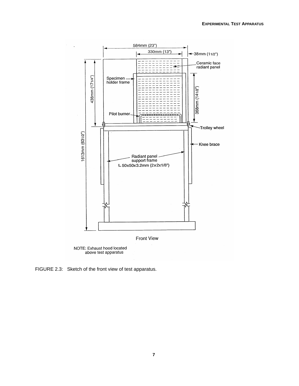

NOTE: Exhaust hood located above test apparatus

FIGURE 2.3: Sketch of the front view of test apparatus.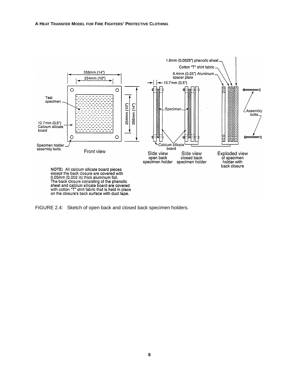

FIGURE 2.4: Sketch of open back and closed back specimen holders.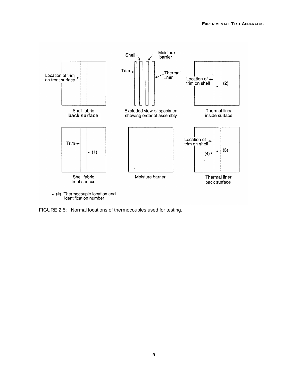

identification number

FIGURE 2.5: Normal locations of thermocouples used for testing.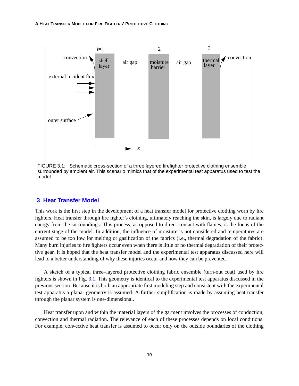

FIGURE 3.1: Schematic cross-section of a three layered firefighter protective clothing ensemble surrounded by ambient air. This scenario mimics that of the experimental test apparatus used to test the model.

#### **3 Heat Transfer Model**

This work is the first step in the development of a heat transfer model for protective clothing worn by fire fighters. Heat transfer through fire fighter's clothing, ultimately reaching the skin, is largely due to radiant energy from the surroundings. This process, as opposed to direct contact with flames, is the focus of the current stage of the model. In addition, the influence of moisture is not considered and temperatures are assumed to be too low for melting or gasification of the fabrics (i.e., thermal degradation of the fabric). Many burn injuries to fire fighters occur even when there is little or no thermal degradation of their protective gear. It is hoped that the heat transfer model and the experimental test apparatus discussed here will lead to a better understanding of why these injuries occur and how they can be prevented.

A sketch of a typical three–layered protective clothing fabric ensemble (turn-out coat) used by fire fighters is shown in Fig. 3.1. This geometry is identical to the experimental test apparatus discussed in the previous section. Because it is both an appropriate first modeling step and consistent with the experimental test apparatus a planar geometry is assumed. A further simplification is made by assuming heat transfer through the planar system is one-dimensional.

Heat transfer upon and within the material layers of the garment involves the processes of conduction, convection and thermal radiation. The relevance of each of these processes depends on local conditions. For example, convective heat transfer is assumed to occur only on the outside boundaries of the clothing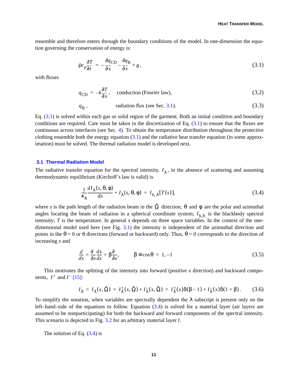ensemble and therefore enters through the boundary conditions of the model. In one-dimension the equation governing the conservation of energy is:

$$
\rho c_{\mathbf{p}} \frac{\partial T}{\partial t} = -\frac{\partial q_{\mathbf{CD}}}{\partial x} - \frac{\partial q_{\mathbf{R}}}{\partial x} + g,
$$
\n(3.1)

with fluxes

$$
q_{\text{CD}} = -k \frac{\partial T}{\partial x}, \quad \text{conduction (Fourier law)}, \tag{3.2}
$$

$$
q_{\rm R} \,, \qquad \qquad \text{radiation flux (see Sec. 3.1).} \tag{3.3}
$$

Eq. (3.1) is solved within each gas or solid region of the garment. Both an initial condition and boundary conditions are required. Care must be taken in the discretization of Eq.  $(3.1)$  to ensure that the fluxes are continuous across interfaces (see Sec. 4). To obtain the temperature distribution throughout the protective clothing ensemble both the energy equation  $(3.1)$  and the radiative heat transfer equation (in some approximation) must be solved. The thermal radiation model is developed next.

#### **3.1 Thermal Radiation Model**

The radiative transfer equation for the spectral intensity,  $I_{\lambda}$ , in the absence of scattering and assuming thermodynamic equilibrium (Kirchoff's law is valid) is

$$
\frac{1}{\kappa_{\lambda}} \frac{dI_{\lambda}(s, \theta, \phi)}{ds} + I_{\lambda}(s, \theta, \phi) = I_{\mathbf{b}, \lambda}[T(s)],
$$
\n(3.4)

where *s* is the path length of the radiation beam in the  $\hat{\Omega}$  direction;  $\theta$  and  $\phi$  are the polar and azimuthal angles locating the beam of radiation in a spherical coordinate system;  $I_{b,\lambda}$  is the blackbody spectral intensity; *T* is the temperature. In general *s* depends on three space variables. In the context of the onedimensional model used here (see Fig. 3.1) the intensity is independent of the azimuthal direction and points in the  $\theta = 0$  or  $\pi$  directions (forward or backward) only. Thus,  $\theta = 0$  corresponds to the direction of increasing *x* and

$$
\frac{d}{ds} = \frac{\partial}{\partial x}\frac{dx}{ds} = \beta\frac{\partial}{\partial x}, \qquad \beta = \cos\theta = 1, -1 \tag{3.5}
$$

This motivates the splitting of the intensity into forward (positive *x* direction) and backward components,  $I^+$  and  $I^-$  [15]:

$$
I_{\lambda} = I_{\lambda}(x, \hat{\Omega}) = I_{\lambda}^{+}(x, \hat{\Omega}) + I_{\lambda}^{-}(x, \hat{\Omega}) = I_{\lambda}^{+}(x)\delta(\beta - 1) + I_{\lambda}^{-}(x)\delta(1 + \beta).
$$
 (3.6)

To simplify the notation, when variables are spectrally dependent the  $\lambda$  subscript is present only on the left–hand–side of the equations to follow. Equation  $(3.4)$  is solved for a material layer (air layers are assumed to be nonparticipating) for both the backward and forward components of the spectral intensity. This scenario is depicted in Fig. 3.2 for an arbitrary material layer *l*.

The solution of Eq.  $(3.4)$  is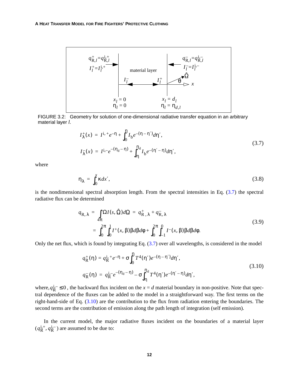

FIGURE 3.2: Geometry for solution of one-dimensional radiative transfer equation in an arbitrary material layer *l*.

$$
I_{\lambda}^{+}(x) = I^{i, +}e^{-\eta} + \int_{0}^{\eta} I_{b}e^{-(\eta - \eta')} d\eta',
$$
  
\n
$$
I_{\lambda}^{-}(x) = I^{i, -}e^{-(\eta_{d} - \eta)} + \int_{\eta}^{\eta_{d}} I_{b}e^{-(\eta' - \eta)} d\eta',
$$
\n(3.7)

where

$$
\eta_{\lambda} = \int_0^x \kappa dx',\tag{3.8}
$$

is the nondimensional spectral absorption length. From the spectral intensities in Eq.  $(3.7)$  the spectral radiative flux can be determined

$$
q_{R,\lambda} = \int_{4\pi} \Omega I(s, \hat{\Omega}) d\Omega = q_{R,\lambda}^+ + q_{R,\lambda}^-
$$
  

$$
= \int_0^{2\pi} \int_0^1 I^+(x, \beta) \beta d\beta d\phi + \int_0^{2\pi} \int_{-1}^0 I^-(x, \beta) \beta d\beta d\phi.
$$
 (3.9)

Only the net flux, which is found by integrating Eq. (3.7) over all wavelengths, is considered in the model

$$
q_{R}^{+}(\eta) = q_{R}^{i,+}e^{-\eta} + \sigma \int_{0}^{\eta} T^{4}(\eta')e^{-(\eta-\eta')}d\eta',
$$
  
\n
$$
q_{R}^{-}(\eta) = q_{R}^{i,-}e^{-(\eta_{d}-\eta)} - \sigma \int_{\eta}^{\eta_{d}} T^{4}(\eta')e^{-(\eta'-\eta)}d\eta',
$$
\n(3.10)

where,  $q_R^i$   $\leq$  0, the backward flux incident on the  $x = d$  material boundary in non-positive. Note that spectral dependence of the fluxes can be added to the model in a straightforward way. The first terms on the right-hand-side of Eq.  $(3.10)$  are the contribution to the flux from radiation entering the boundaries. The second terms are the contribution of emission along the path length of integration (self emission).

In the current model, the major radiative fluxes incident on the boundaries of a material layer  $(q_R^{\mathbf{i},+}, q_R^{\mathbf{i},-})$  are assumed to be due to: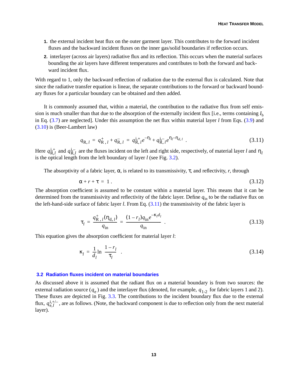- **1.** the external incident heat flux on the outer garment layer. This contributes to the forward incident fluxes and the backward incident fluxes on the inner gas/solid boundaries if reflection occurs.
- **2.** interlayer (across air layers) radiative flux and its reflection. This occurs when the material surfaces bounding the air layers have different temperatures and contributes to both the forward and backward incident flux.

With regard to 1, only the backward reflection of radiation due to the external flux is calculated. Note that since the radiative transfer equation is linear, the separate contributions to the forward or backward boundary fluxes for a particular boundary can be obtained and then added.

It is commonly assumed that, within a material, the contribution to the radiative flux from self emission is much smaller than that due to the absorption of the externally incident flux [i.e., terms containing  $I<sub>b</sub>$ in Eq. (3.7) are neglected]. Under this assumption the net flux within material layer *l* from Eqs. (3.9) and (3.10) is (Beer-Lambert law)

$$
q_{R, l} = q_{R, l}^{+} + q_{R, l}^{-} = q_{R, l}^{i,+} e^{-\eta_{l}} + q_{R, l}^{i,-} e^{\eta_{l} - \eta_{d, l}}.
$$
\n(3.11)

Here  $q_{R}^{1,+}$  and  $q_{R}^{1,-}$  are the fluxes incident on the left and right side, respectively, of material layer *l* and is the optical length from the left boundary of layer *l* (see Fig. 3.2).  $q_{R,l}^{i,+}$  and  $q_{R,l}^{i,-}$  are the fluxes incident on the left and right side, respectively, of material layer l and  $\eta_l$ 

The absorptivity of a fabric layer,  $\alpha$ , is related to its transmissivity,  $\tau$ , and reflectivity, r, through

$$
\alpha + r + \tau = 1. \tag{3.12}
$$

The absorption coefficient is assumed to be constant within a material layer. This means that it can be determined from the transmissivity and reflectivity of the fabric layer. Define *q*in to be the radiative flux on the left-hand-side surface of fabric layer *l*. From Eq. (3.11) the transmissivity of the fabric layer is

$$
\tau_{l} = \frac{q_{\rm R,l}^{+}(\eta_{\rm d,l})}{q_{\rm in}} = \frac{(1 - r_{l})q_{\rm in}e^{-\kappa_{l}d_{l}}}{q_{\rm in}} \tag{3.13}
$$

This equation gives the absorption coefficient for material layer *l*:

$$
\kappa_l = \frac{1}{d_l} \ln \left( \frac{1 - r_l}{\tau_l} \right). \tag{3.14}
$$

#### **3.2 Radiation fluxes incident on material boundaries**

As discussed above it is assumed that the radiant flux on a material boundary is from two sources: the external radiation source  $(q_e)$  and the interlayer flux (denoted, for example,  $q_{1-2}$  for fabric layers 1 and 2). These fluxes are depicted in Fig. 3.3. The contributions to the incident boundary flux due to the external flux,  $q_{e,l}^{i,+/-}$ , are as follows. (Note, the backward component is due to reflection only from the next material layer).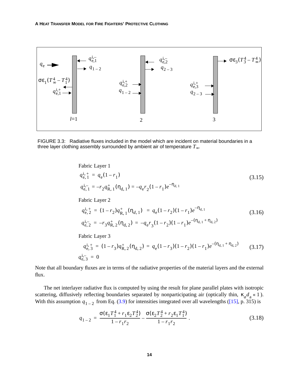

FIGURE 3.3: Radiative fluxes included in the model which are incident on material boundaries in a three layer clothing assembly surrounded by ambient air of temperature *T*∞.

Fabric Layer 1

\n
$$
q_{e,1}^{i,+} = q_e(1 - r_1)
$$
\n
$$
q_{e,1}^{i,-} = -r_2 q_{R,1}^+( \eta_{d,1}) = -q_e r_2 (1 - r_1) e^{-\eta_{d,1}}
$$
\nFabric Layer 2

\n
$$
q_{e,2}^{i,+} = (1 - r_2) q_{R,1}^+( \eta_{d,1}) = q_e (1 - r_2) (1 - r_1) e^{-\eta_{d,1}}
$$
\n
$$
q_{e,2}^{i,-} = -r_3 q_{R,2}^+( \eta_{d,2}) = -q_e r_3 (1 - r_2) (1 - r_1) e^{-(\eta_{d,1} + \eta_{d,2})}
$$
\n(3.16)

Fabric Layer 3

$$
q_{e,3}^{i, +} = (1 - r_3)q_{R,2}^{+}(\eta_{d,2}) = q_e(1 - r_3)(1 - r_2)(1 - r_1)e^{-(\eta_{d,1} + \eta_{d,2})}
$$
(3.17)  

$$
q_{e,3}^{i, -} = 0
$$

Note that all boundary fluxes are in terms of the radiative properties of the material layers and the external flux.

The net interlayer radiative flux is computed by using the result for plane parallel plates with isotropic scattering, diffusively reflecting boundaries separated by nonparticipating air (optically thin,  $\kappa_a d_a \ll 1$ ). With this assumption  $q_{1-2}$  from Eq. (3.9) for intensities integrated over all wavelengths ([15], p. 315) is

$$
q_{1-2} = \frac{\sigma(\epsilon_1 T_1^4 + r_1 \epsilon_2 T_2^4)}{1 - r_1 r_2} - \frac{\sigma(\epsilon_2 T_2^4 + r_2 \epsilon_1 T_1^4)}{1 - r_1 r_2}.
$$
 (3.18)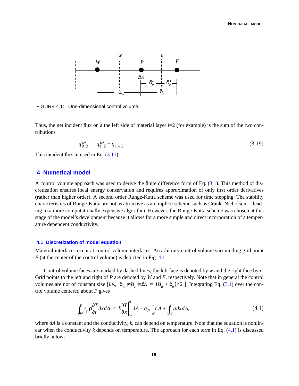

FIGURE 4.1: One-dimensional control volume.

Thus, the net incident flux on a the left side of material layer *l*=2 (for example) is the sum of the two contributions

$$
q_{\mathsf{R},2}^{\mathbf{i},+} = q_{\mathsf{e},2}^{\mathbf{i},+} + q_{1-2}.
$$
 (3.19)

This incident flux in used in Eq.  $(3.11)$ .

#### **4 Numerical model**

A control volume approach was used to derive the finite difference form of Eq. (3.1). This method of discretization ensures local energy conservation and requires approximation of only first order derivatives (rather than higher order). A second order Runge-Kutta scheme was used for time stepping. The stability characteristics of Runge-Kutta are not as attractive as an implicit scheme such as Crank–Nicholson —leading to a more computationally expensive algorithm. However, the Runge-Kutta scheme was chosen at this stage of the model's development because it allows for a more simple and direct incorporation of a temperature dependent conductivity.

#### **4.1 Discretization of model equation**

Material interfaces occur at control volume interfaces. An arbitrary control volume surrounding grid point *P* (at the center of the control volume) is depicted in Fig. 4.1.

Control volume faces are marked by dashed lines; the left face is denoted by *w* and the right face by *e*. Grid points to the left and right of *P* are denoted by *W* and *E*, respectively. Note that in general the control volumes are not of constant size [i.e.,  $\delta_w \neq \delta_e \neq \Delta x = (\delta_w + \delta_e)/2$  ]. Integrating Eq. (3.1) over the control volume centered about *P* gives

$$
\int_{w}^{e} c_{p} \rho \frac{\partial T}{\partial t} dx dA = k \frac{\partial T}{\partial x} \Big|_{w}^{e} dA - q_{R} \Big|_{w}^{e} dA + \int_{w}^{e} g dx dA, \tag{4.1}
$$

where  $dA$  is a constant and the conductivity,  $k$ , can depend on temperature. Note that the equation is nonlinear when the conductivity *k* depends on temperature. The approach for each term in Eq. (4.1) is discussed briefly below: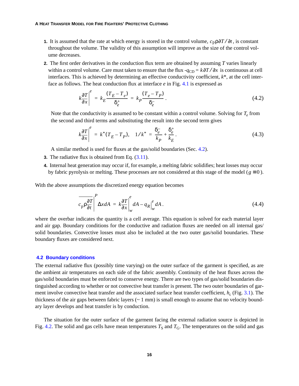#### **A HEAT TRANSFER MODEL FOR FIRE FIGHTERS' PROTECTIVE CLOTHING**

- **1.** It is assumed that the rate at which energy is stored in the control volume,  $c_p \rho \frac{\partial T}{\partial t}$ , is constant throughout the volume. The validity of this assumption will improve as the size of the control volume decreases.
- **2.** The first order derivatives in the conduction flux term are obtained by assuming *T* varies linearly within a control volume. Care must taken to ensure that the flux - $q_{CD} = k\partial T / \partial x$  is continuous at cell interfaces. This is achieved by determining an effective conductivity coefficient, *k*\*, at the cell interface as follows. The heat conduction flux at interface *e* in Fig. 4.1 is expressed as

$$
k\frac{\partial T}{\partial x}\Big|^{e} = k_{E}\frac{(T_{E} - T_{e})}{\delta_{e}^{+}} = k_{P}\frac{(T_{e} - T_{P})}{\delta_{e}^{-}}.
$$
\n(4.2)

Note that the conductivity is assumed to be constant within a control volume. Solving for *T<sup>e</sup>* from the second and third terms and substituting the result into the second term gives

$$
k\frac{\partial T}{\partial x}\bigg|^{e} = k^*(T_E - T_P), \quad 1/k^* = \frac{\delta_e^-}{k_P} + \frac{\delta_e^+}{k_E}.
$$
\n(4.3)

A similar method is used for fluxes at the gas/solid boundaries (Sec. 4.2).

- **3.** The radiative flux is obtained from Eq. (3.11).
- **4.** Internal heat generation may occur if, for example, a melting fabric solidifies; heat losses may occur by fabric pyrolysis or melting. These processes are not considered at this stage of the model ( $g \equiv 0$ ).

With the above assumptions the discretized energy equation becomes

$$
\overline{c_p \rho \frac{\partial T}{\partial t}} \bigg|^P \Delta x dA = k \frac{\partial T}{\partial x} \bigg|_w^e dA - q_R \bigg|_w^e dA.
$$
 (4.4)

where the overbar indicates the quantity is a cell average. This equation is solved for each material layer and air gap. Boundary conditions for the conductive and radiation fluxes are needed on all internal gas/ solid boundaries. Convective losses must also be included at the two outer gas/solid boundaries. These boundary fluxes are considered next.

#### **4.2 Boundary conditions**

The external radiative flux (possibly time varying) on the outer surface of the garment is specified, as are the ambient air temperatures on each side of the fabric assembly. Continuity of the heat fluxes across the gas/solid boundaries must be enforced to conserve energy. There are two types of gas/solid boundaries distinguished according to whether or not convective heat transfer is present. The two outer boundaries of garment involve convective heat transfer and the associated surface heat transfer coefficient, *h*<sub>c</sub> (Fig. 3.1). The thickness of the air gaps between fabric layers  $($   $\sim$  1 mm) is small enough to assume that no velocity boundary layer develops and heat transfer is by conduction.

The situation for the outer surface of the garment facing the external radiation source is depicted in Fig. 4.2. The solid and gas cells have mean temperatures  $T_S$  and  $T_G$ . The temperatures on the solid and gas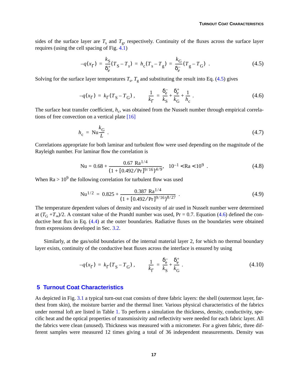sides of the surface layer are  $T_s$  and  $T_g$ , respectively. Continuity of the fluxes across the surface layer requires (using the cell spacing of Fig. 4.1)

$$
-q(x_{\Gamma}) = \frac{k_{\rm S}}{\delta_e^+}(T_{\rm S} - T_s) = h_{\rm c}(T_{\rm s} - T_{\rm g}) = \frac{k_{\rm G}}{\delta_e^-}(T_{\rm g} - T_{\rm G}) \tag{4.5}
$$

Solving for the surface layer temperatures  $T_s$ ,  $T_g$  and substituting the result into Eq. (4.5) gives

$$
-q(x_{\Gamma}) = k_{\Gamma}(T_{S} - T_{G}), \qquad \frac{1}{k_{\Gamma}} = \frac{\delta_{e}^{-}}{k_{S}} + \frac{\delta_{e}^{+}}{k_{G}} + \frac{1}{h_{c}}.
$$
 (4.6)

The surface heat transfer coefficient,  $h_c$ , was obtained from the Nusselt number through empirical correlations of free convection on a vertical plate [16]

$$
h_{\rm c} = \text{Nu} \frac{k_{\rm G}}{L} \tag{4.7}
$$

Correlations appropriate for both laminar and turbulent flow were used depending on the magnitude of the Rayleigh number. For laminar flow the correlation is

Nu = 
$$
0.68 + \frac{0.67 \text{ Ra}^{1/4}}{(1 + [0.492/Pr]^{9/16})^{4/9}}, \quad 10^{-1} < \text{Ra} < 10^{9}
$$
 . (4.8)

When  $Ra > 10<sup>9</sup>$  the following correlation for turbulent flow was used

$$
Nu^{1/2} = 0.825 + \frac{0.387 \text{ Ra}^{1/4}}{(1 + [0.492/Pr]^{9/16})^{8/27}} \tag{4.9}
$$

The temperature dependent values of density and viscosity of air used in Nusselt number were determined at  $(T<sub>G</sub> + T<sub>∞</sub>)/2$ . A constant value of the Prandtl number was used, Pr = 0.7. Equation (4.6) defined the conductive heat flux in Eq. (4.4) at the outer boundaries. Radiative fluxes on the boundaries were obtained from expressions developed in Sec. 3.2.

Similarly, at the gas/solid boundaries of the internal material layer 2, for which no thermal boundary layer exists, continuity of the conductive heat fluxes across the interface is ensured by using

$$
-q(x_{\Gamma}) = k_{\Gamma}(T_{S} - T_{G}), \qquad \frac{1}{k_{\Gamma}} = \frac{\delta_{e}^{-}}{k_{S}} + \frac{\delta_{e}^{+}}{k_{G}}.
$$
 (4.10)

#### **5 Turnout Coat Characteristics**

As depicted in Fig. 3.1 a typical turn-out coat consists of three fabric layers: the shell (outermost layer, farthest from skin), the moisture barrier and the thermal liner. Various physical characteristics of the fabrics under normal loft are listed in Table 1. To perform a simulation the thickness, density, conductivity, specific heat and the optical properties of transmissivity and reflectivity were needed for each fabric layer. All the fabrics were clean (unused). Thickness was measured with a micrometer. For a given fabric, three different samples were measured 12 times giving a total of 36 independent measurements. Density was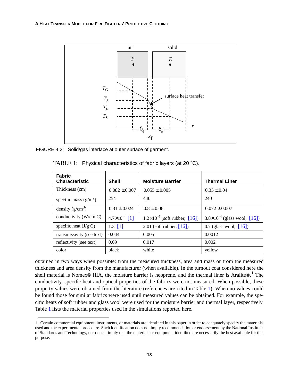

FIGURE 4.2: Solid/gas interface at outer surface of garment.

| <b>Fabric</b><br><b>Characteristic</b> | <b>Shell</b>             | <b>Moisture Barrier</b>                  | <b>Thermal Liner</b>                    |
|----------------------------------------|--------------------------|------------------------------------------|-----------------------------------------|
| Thickness (cm)                         | $0.082 \pm 0.007$        | $0.055 \pm 0.005$                        | $0.35 \pm 0.04$                         |
| specific mass $(g/m^2)$                | 254                      | 440                                      | 240                                     |
| density $(g/cm^3)$                     | $0.31 \pm 0.024$         | $0.8 \pm 0.06$                           | $0.072 \pm 0.007$                       |
| conductivity $(W/cm-C)$                | $4.7 \times 10^{-4}$ [1] | $1.2 \times 10^{-4}$ (soft rubber, [16]) | $3.8 \times 10^{-4}$ (glass wool, [16]) |
| specific heat $(J/g \cdot C)$          | 1.3 $[1]$                | 2.01 (soft rubber, $[16]$ )              | 0.7 (glass wool, $[16]$ )               |
| transmissivity (see text)              | 0.044                    | 0.005                                    | 0.0012                                  |
| reflectivity (see text)                | 0.09                     | 0.017                                    | 0.002                                   |
| color                                  | black                    | white                                    | yellow                                  |

TABLE 1: Physical characteristics of fabric layers (at 20 ˚C).

obtained in two ways when possible: from the measured thickness, area and mass or from the measured thickness and area density from the manufacturer (when available). In the turnout coat considered here the shell material is Nomex® IIIA, the moisture barrier is neoprene, and the thermal liner is Aralite®.<sup>1</sup> The conductivity, specific heat and optical properties of the fabrics were not measured. When possible, these property values were obtained from the literature (references are cited in Table 1). When no values could be found those for similar fabrics were used until measured values can be obtained. For example, the specific heats of soft rubber and glass wool were used for the moisture barrier and thermal layer, respectively. Table 1 lists the material properties used in the simulations reported here.

<sup>1.</sup> Certain commercial equipment, instruments, or materials are identified in this paper in order to adequately specify the materials used and the experimental procedure. Such identification does not imply recommendation or endorsement by the National Institute of Standards and Technology, nor does it imply that the materials or equipment identified are necessarily the best available for the purpose.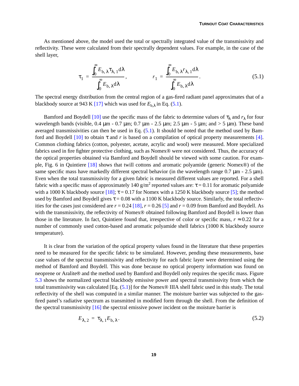As mentioned above, the model used the total or spectrally integrated value of the transmissivity and reflectivity. These were calculated from their spectrally dependent values. For example, in the case of the shell layer,

$$
\tau_1 = \frac{\int_0^\infty E_{\mathbf{b},\,\lambda} \tau_{\lambda,\,1} \, d\lambda}{\int_0^\infty E_{\mathbf{b},\,\lambda} \, d\lambda}, \qquad \qquad r_1 = \frac{\int_0^\infty E_{\mathbf{b},\,\lambda} r_{\lambda,\,1} \, d\lambda}{\int_0^\infty E_{\mathbf{b},\,\lambda} \, d\lambda}.
$$
\n
$$
(5.1)
$$

The spectral energy distribution from the central region of a gas-fired radiant panel approximates that of a blackbody source at 943 K  $[17]$  which was used for  $E_{b,\lambda}$  in Eq. (5.1).

Bamford and Boydell [10] use the specific mass of the fabric to determine values of  $\tau_{\lambda}$  and  $r_{\lambda}$  for four wavelength bands (visible,  $0.4 \mu m$  -  $0.7 \mu m$ ;  $0.7 \mu m$  -  $2.5 \mu m$ ;  $2.5 \mu m$  -  $5 \mu m$ ; and  $> 5 \mu m$ ). These band averaged transmissivities can then be used in Eq.  $(5.1)$ . It should be noted that the method used by Bamford and Boydell [10] to obtain τ and *r* is based on a compilation of optical property measurements [4]. Common clothing fabrics (cotton, polyester, acetate, acrylic and wool) were measured. More specialized fabrics used in fire fighter protective clothing, such as Nomex® were not considered. Thus, the accuracy of the optical properties obtained via Bamford and Boydell should be viewed with some caution. For example, Fig. 6 in Quintiere [18] shows that twill cottons and aromatic polyamide (generic Nomex®) of the same specific mass have markedly different spectral behavior (in the wavelength range 0.7  $\mu$ m - 2.5  $\mu$ m). Even when the total transmissivity for a given fabric is measured different values are reported. For a shell fabric with a specific mass of approximately 140 g/m<sup>2</sup> reported values are:  $\tau$  = 0.11 for aromatic polyamide with a 1000 K blackbody source  $[18]$ ;  $\tau = 0.17$  for Nomex with a 1250 K blackbody source [5]; the method used by Bamford and Boydell gives  $\tau = 0.08$  with a 1100 K blackbody source. Similarly, the total reflectivities for the cases just considered are  $r = 0.24$  [18],  $r = 0.26$  [5] and  $r = 0.09$  from Bamford and Boydell. As with the transmissivity, the reflectivity of Nomex® obtained following Bamford and Boydell is lower than those in the literature. In fact, Quintiere found that, irrespective of color or specific mass,  $r \approx 0.22$  for a number of commonly used cotton-based and aromatic polyamide shell fabrics (1000 K blackbody source temperature).

It is clear from the variation of the optical property values found in the literature that these properties need to be measured for the specific fabric to be simulated. However, pending these measurements, base case values of the spectral transmissivity and reflectivity for each fabric layer were determined using the method of Bamford and Boydell. This was done because no optical property information was found on neoprene or Aralite® and the method used by Bamford and Boydell only requires the specific mass. Figure 5.3 shows the normalized spectral blackbody emissive power and spectral transmissivity from which the total transmissivity was calculated [Eq. (5.1)] for the Nomex® IIIA shell fabric used in this study. The total reflectivity of the shell was computed in a similar manner. The moisture barrier was subjected to the gasfired panel's radiative spectrum as transmitted in modified form through the shell. From the definition of the spectral transmissivity  $[16]$  the spectral emissive power incident on the moisture barrier is

$$
E_{\lambda,2} = \tau_{\lambda,1} E_{\mathbf{b},\lambda}.\tag{5.2}
$$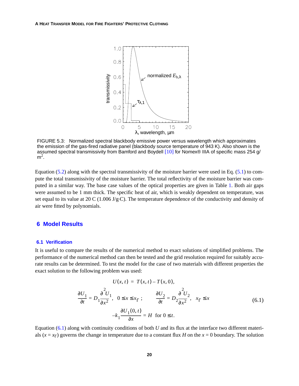

FIGURE 5.3: Normalized spectral blackbody emissive power versus wavelength which approximates the emission of the gas-fired radiative panel (blackbody source temperature of 943 K). Also shown is the assumed spectral transmissivity from Bamford and Boydell [10] for Nomex® IIIA of specific mass 254 g/  $m<sup>2</sup>$ .

Equation  $(5.2)$  along with the spectral transmissivity of the moisture barrier were used in Eq.  $(5.1)$  to compute the total transmissivity of the moisture barrier. The total reflectivity of the moisture barrier was computed in a similar way. The base case values of the optical properties are given in Table 1. Both air gaps were assumed to be 1 mm thick. The specific heat of air, which is weakly dependent on temperature, was set equal to its value at 20 C (1.006 J/g·C). The temperature dependence of the conductivity and density of air were fitted by polynomials.

#### **6 Model Results**

#### **6.1 Verification**

It is useful to compare the results of the numerical method to exact solutions of simplified problems. The performance of the numerical method can then be tested and the grid resolution required for suitably accurate results can be determined. To test the model for the case of two materials with different properties the exact solution to the following problem was used:

$$
U(x, t) = T(x, t) - T(x, 0),
$$
  
\n
$$
\frac{\partial U_1}{\partial t} = D_1 \frac{\partial^2 U_1}{\partial x^2}, \quad 0 \le x \le x_\Gamma; \qquad \frac{\partial U_2}{\partial t} = D_2 \frac{\partial^2 U_2}{\partial x^2}, \quad x_\Gamma \le x
$$
  
\n
$$
-k_1 \frac{\partial U_1(0, t)}{\partial x} = H \text{ for } 0 \le t.
$$
\n(6.1)

Equation (6.1) along with continuity conditions of both *U* and its flux at the interface two different materials  $(x = x_{\Gamma})$  governs the change in temperature due to a constant flux *H* on the  $x = 0$  boundary. The solution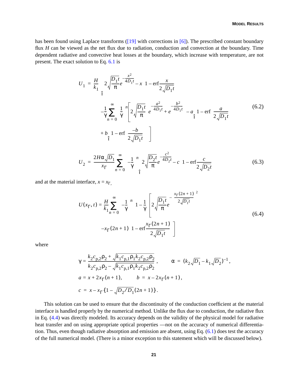has been found using Laplace transforms ([19] with corrections in [6]). The prescribed constant boundary flux *H* can be viewed as the net flux due to radiation, conduction and convection at the boundary. Time dependent radiative and convective heat losses at the boundary, which increase with temperature, are not present. The exact solution to Eq. 6.1 is

$$
U_{1} = \frac{H}{k_{1}} \left\{ 2\sqrt{\frac{D_{1}t}{\pi}} e^{-\frac{x^{2}}{4D_{1}t}} - x \left( 1 - \text{erf} \frac{x}{2\sqrt{D_{1}t}} \right) \right\}
$$
  
\n
$$
-\frac{1}{\gamma} \sum_{n=0}^{\infty} \left( \frac{1}{\gamma} \right)^{n} \left[ 2\sqrt{\frac{D_{1}t}{\pi}} \left( e^{-\frac{a^{2}}{4D_{1}t}} + e^{-\frac{b^{2}}{4D_{1}t}} \right) - a \left\{ 1 - \text{erf} \left( \frac{a}{2\sqrt{D_{1}t}} \right) \right\}
$$
  
\n
$$
+ b \left\{ 1 - \text{erf} \left( \frac{-b}{2\sqrt{D_{1}t}} \right) \right\} \right]
$$
  
\n
$$
U_{2} = \frac{2H\alpha\sqrt{D_{1}}}{x_{\Gamma}} \sum_{n=0}^{\infty} \left( -\frac{1}{\gamma} \right)^{n} \left\{ 2\sqrt{\frac{D_{2}t}{\pi}} e^{-\frac{c^{2}}{4D_{2}t}} - c \left( 1 - \text{erf} \frac{c}{2\sqrt{D_{2}t}} \right) \right\}
$$
(6.3)

and at the material interface,  $x = x_{\Gamma}$ ,

$$
U(x_{\Gamma}, t) = \frac{H}{k_1} \sum_{n=0}^{\infty} \left( -\frac{1}{\gamma} \right)^n \left( 1 - \frac{1}{\gamma} \right) \left[ 2 \sqrt{\frac{D_1 t}{\pi}} e^{-\left( \frac{x_{\Gamma}(2n+1)}{2\sqrt{D_1 t}} \right)^2} - x_{\Gamma}(2n+1) \left( 1 - \text{erf} \frac{x_{\Gamma}(2n+1)}{2\sqrt{D_1 t}} \right) \right]
$$
(6.4)

where

$$
\gamma = \frac{k_2 c_{p,2} \rho_2 + \sqrt{k_1 c_{p,1} \rho_1 k_2 c_{p,2} \rho_2}}{k_2 c_{p,2} \rho_2 - \sqrt{k_1 c_{p,1} \rho_1 k_2 c_{p,2} \rho_2}}, \qquad \alpha = (k_2 \sqrt{D_1} - k_1 \sqrt{D_2})^{-1},
$$
  
\n
$$
a = x + 2x_{\Gamma}(n+1), \qquad b = x - 2x_{\Gamma}(n+1),
$$
  
\n
$$
c = x - x_{\Gamma} \{1 - \sqrt{D_2/D_1}(2n+1)\}.
$$

This solution can be used to ensure that the discontinuity of the conduction coefficient at the material interface is handled properly by the numerical method. Unlike the flux due to conduction, the radiative flux in Eq. (4.4) was directly modeled. Its accuracy depends on the validity of the physical model for radiative heat transfer and on using appropriate optical properties —not on the accuracy of numerical differentiation. Thus, even though radiative absorption and emission are absent, using Eq.  $(6.1)$  does test the accuracy of the full numerical model. (There is a minor exception to this statement which will be discussed below).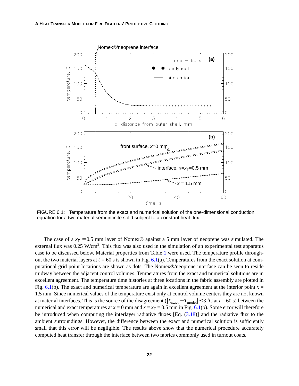

FIGURE 6.1: Temperature from the exact and numerical solution of the one-dimensional conduction equation for a two material semi-infinite solid subject to a constant heat flux.

The case of a  $x_{\Gamma} = 0.5$  mm layer of Nomex® against a 5 mm layer of neoprene was simulated. The external flux was  $0.25 \text{ W/cm}^2$ . This flux was also used in the simulation of an experimental test apparatus case to be discussed below. Material properties from Table 1 were used. The temperature profile throughout the two material layers at  $t = 60$  s is shown in Fig. 6.1(a). Temperatures from the exact solution at computational grid point locations are shown as dots. The Nomex®/neoprene interface can be seen to reside midway between the adjacent control volumes. Temperatures from the exact and numerical solutions are in excellent agreement. The temperature time histories at three locations in the fabric assembly are plotted in Fig.  $6.1(b)$ . The exact and numerical temperature are again in excellent agreement at the interior point  $x =$ 1.5 mm. Since numerical values of the temperature exist only at control volume centers they are not known at material interfaces. This is the source of the disagreement ( $|T_{\text{exact}} - T_{\text{model}}| \leq 3$ °C at  $t = 60$  s) between the numerical and exact temperatures at  $x = 0$  mm and  $x = x<sub>Γ</sub> = 0.5$  mm in Fig. 6.1(b). Some error will therefore be introduced when computing the interlayer radiative fluxes [Eq. (3.18)] and the radiative flux to the ambient surroundings. However, the difference between the exact and numerical solution is sufficiently small that this error will be negligible. The results above show that the numerical procedure accurately computed heat transfer through the interface between two fabrics commonly used in turnout coats.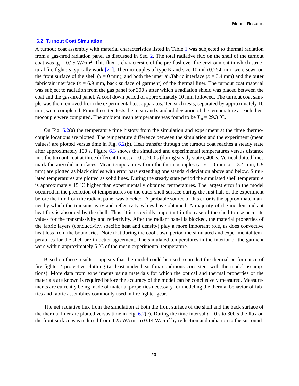#### **6.2 Turnout Coat Simulation**

A turnout coat assembly with material characteristics listed in Table 1 was subjected to thermal radiation from a gas-fired radiation panel as discussed in Sec. 2. The total radiative flux on the shell of the turnout coat was  $q_e = 0.25$  W/cm<sup>2</sup>. This flux is characterstic of the pre-flashover fire environment in which structural fire fighters typically work [21]. Thermocouples of type K and size 10 mil (0.254 mm) were sewn on the front surface of the shell ( $x = 0$  mm), and both the inner air/fabric interface ( $x = 3.4$  mm) and the outer fabric/air interface  $(x = 6.9 \text{ mm})$ , back surface of garment) of the thermal liner. The turnout coat material was subject to radiation from the gas panel for 300 s after which a radiation shield was placed between the coat and the gas-fired panel. A cool down period of approximately 10 min followed. The turnout coat sample was then removed from the experimental test apparatus. Ten such tests, separated by approximately 10 min, were completed. From these ten tests the mean and standard deviation of the temperature at each thermocouple were computed. The ambient mean temperature was found to be  $T_{\infty} = 29.3$  °C.

On Fig.  $6.2(a)$  the temperature time history from the simulation and experiment at the three thermocouple locations are plotted. The temperature difference between the simulation and the experiment (mean values) are plotted versus time in Fig. 6.2(b). Heat transfer through the turnout coat reaches a steady state after approximately 100 s. Figure 6.3 shows the simulated and experimental temperatures versus distance into the turnout coat at three different times,  $t = 0$  s, 200 s (during steady state), 400 s. Vertical dotted lines mark the air/solid interfaces. Mean temperatures from the thermocouples (at  $x = 0$  mm,  $x = 3.4$  mm, 6.9 mm) are plotted as black circles with error bars extending one standard deviation above and below. Simulated temperatures are plotted as solid lines. During the steady state period the simulated shell temperature is approximately 15 ˚C higher than experimentally obtained temperatures. The largest error in the model occurred in the prediction of temperatures on the outer shell surface during the first half of the experiment before the flux from the radiant panel was blocked. A probable source of this error is the approximate manner by which the transmissivity and reflectivity values have obtained. A majority of the incident radiant heat flux is absorbed by the shell. Thus, it is especially important in the case of the shell to use accurate values for the transmissivity and reflectivity. After the radiant panel is blocked, the material properties of the fabric layers (conductivity, specific heat and density) play a more important role, as does convective heat loss from the boundaries. Note that during the cool down period the simulated and experimental temperatures for the shell are in better agreement. The simulated temperatures in the interior of the garment were within approximately 5 °C of the mean experimental temperature.

Based on these results it appears that the model could be used to predict the thermal performance of fire fighters' protective clothing (at least under heat flux conditions consistent with the model assumptions). More data from experiments using materials for which the optical and thermal properties of the materials are known is required before the accuracy of the model can be conclusively measured. Measurements are currently being made of material properties necessary for modeling the thermal behavior of fabrics and fabric assemblies commonly used in fire fighter gear.

The net radiative flux from the simulation at both the front surface of the shell and the back surface of the thermal liner are plotted versus time in Fig.  $6.2(c)$ . During the time interval  $t = 0$  s to 300 s the flux on the front surface was reduced from 0.25 W/cm<sup>2</sup> to 0.14 W/cm<sup>2</sup> by reflection and radiation to the surround-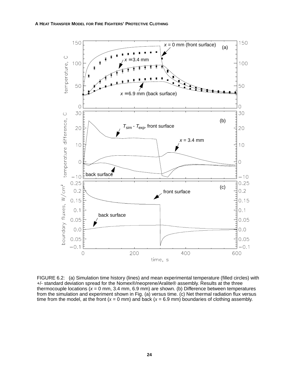

FIGURE 6.2: (a) Simulation time history (lines) and mean experimental temperature (filled circles) with +/- standard deviation spread for the Nomex®/neoprene/Aralite® assembly. Results at the three thermocouple locations  $(x = 0 \text{ mm}, 3.4 \text{ mm}, 6.9 \text{ mm})$  are shown. (b) Difference between temperatures from the simulation and experiment shown in Fig. (a) versus time. (c) Net thermal radiation flux versus time from the model, at the front  $(x = 0 \text{ mm})$  and back  $(x = 6.9 \text{ mm})$  boundaries of clothing assembly.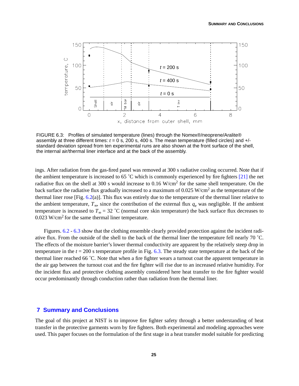

FIGURE 6.3: Profiles of simulated temperature (lines) through the Nomex®/neoprene/Aralite® assembly at three different times: *t* = 0 s, 200 s, 400 s. The mean temperature (filled circles) and +/ standard deviation spread from ten experimental runs are also shown at the front surface of the shell, the internal air/thermal liner interface and at the back of the assembly.

ings. After radiation from the gas-fired panel was removed at 300 s radiative cooling occurred. Note that if the ambient temperature is increased to 65 ˚C which is commonly experienced by fire fighters [21] the net radiative flux on the shell at 300 s would increase to  $0.16$  W/cm<sup>2</sup> for the same shell temperature. On the back surface the radiative flux gradually increased to a maximum of 0.025 W/cm<sup>2</sup> as the temperature of the thermal liner rose  $[Fig. 6.2(a)]$ . This flux was entirely due to the temperature of the thermal liner relative to the ambient temperature,  $T_{\infty}$ , since the contribution of the external flux  $q_e$  was negligible. If the ambient temperature is increased to  $T_{\infty} = 32$  °C (normal core skin temperature) the back surface flux decreases to  $0.023$  W/cm<sup>2</sup> for the same thermal liner temperature.

Figures. 6.2 - 6.3 show that the clothing ensemble clearly provided protection against the incident radiative flux. From the outside of the shell to the back of the thermal liner the temperature fell nearly 70 ˚C. The effects of the moisture barrier's lower thermal conductivity are apparent by the relatively steep drop in temperature in the  $t = 200$  s temperature profile in Fig. 6.3. The steady state temperature at the back of the thermal liner reached 66 ˚C. Note that when a fire fighter wears a turnout coat the apparent temperature in the air gap between the turnout coat and the fire fighter will rise due to an increased relative humidity. For the incident flux and protective clothing assembly considered here heat transfer to the fire fighter would occur predominantly through conduction rather than radiation from the thermal liner.

#### **7 Summary and Conclusions**

The goal of this project at NIST is to improve fire fighter safety through a better understanding of heat transfer in the protective garments worn by fire fighters. Both experimental and modeling approaches were used. This paper focuses on the formulation of the first stage in a heat transfer model suitable for predicting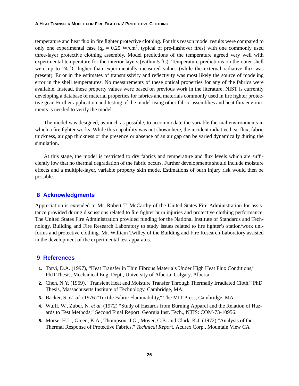#### **A HEAT TRANSFER MODEL FOR FIRE FIGHTERS' PROTECTIVE CLOTHING**

temperature and heat flux in fire fighter protective clothing. For this reason model results were compared to only one experimental case  $(q_e = 0.25 \text{ W/cm}^2$ , typical of pre-flashover fires) with one commonly used three-layer protective clothing assembly. Model predictions of the temperature agreed very well with experimental temperature for the interior layers (within 5 ˚C). Temperature predictions on the outer shell were up to 24 ˚C higher than experimentally measured values (while the external radiative flux was present). Error in the estimates of transmissivity and reflectivity was most likely the source of modeling error in the shell temperatures. No measurements of these optical properties for any of the fabrics were available. Instead, these property values were based on previous work in the literature. NIST is currently developing a database of material properties for fabrics and materials commonly used in fire fighter protective gear. Further application and testing of the model using other fabric assemblies and heat flux environments is needed to verify the model.

The model was designed, as much as possible, to accommodate the variable thermal environments in which a fire fighter works. While this capability was not shown here, the incident radiative heat flux, fabric thickness, air gap thickness or the presence or absence of an air gap can be varied dynamically during the simulation.

At this stage, the model is restricted to dry fabrics and temperature and flux levels which are sufficiently low that no thermal degradation of the fabric occurs. Further developments should include moisture effects and a multiple-layer, variable property skin mode. Estimations of burn injury risk would then be possible.

#### **8 Acknowledgments**

Appreciation is extended to Mr. Robert T. McCarthy of the United States Fire Administration for assistance provided during discussions related to fire fighter burn injuries and protective clothing performance. The United States Fire Administration provided funding for the National Institute of Standards and Technology, Building and Fire Research Laboratory to study issues related to fire fighter's station/work uniforms and protective clothing. Mr. William Twilley of the Building and Fire Research Laboratory assisted in the development of the experimental test apparatus.

#### **9 References**

- **1.** Torvi, D.A. (1997), "Heat Transfer in Thin Fibrous Materials Under High Heat Flux Conditions," PhD Thesis, Mechanical Eng. Dept., University of Alberta, Calgary, Alberta.
- **2.** Chen, N.Y. (1959), "Transient Heat and Moisture Transfer Through Thermally Irradiated Cloth," PhD Thesis, Massachusetts Institute of Technology, Cambridge, MA.
- **3.** Backer, S. *et. al.* (1976)"Textile Fabric Flammability," The MIT Press, Cambridge, MA.
- **4.** Wulff, W., Zuber, N. *et al.* (1972) "Study of Hazards from Burning Apparel and the Relation of Hazards to Test Methods," Second Final Report: Georgia Inst. Tech., NTIS: COM-73-10956.
- **5.** Morse, H.L., Green, K.A., Thompson, J.G., Moyer, C.B. and Clark, K.J. (1972) "Analysis of the Thermal Response of Protective Fabrics," *Technical Report*, Acurex Corp., Mountain View CA